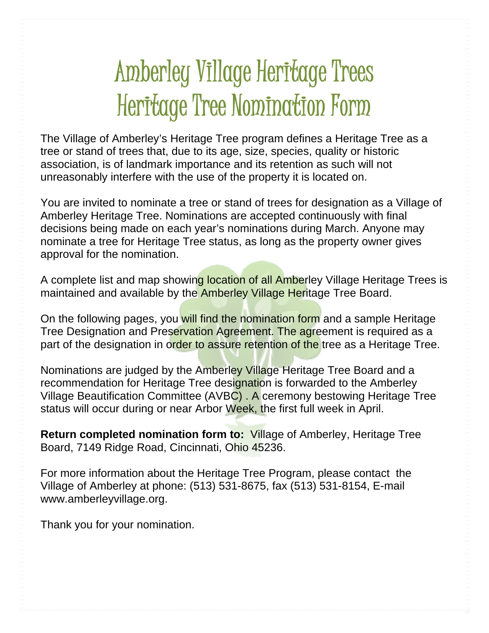## Amberley Village Heritage Trees Heritage Tree Nomination Form

The Village of Amberley's Heritage Tree program defines a Heritage Tree as a tree or stand of trees that, due to its age, size, species, quality or historic association, is of landmark importance and its retention as such will not unreasonably interfere with the use of the property it is located on.

You are invited to nominate a tree or stand of trees for designation as a Village of Amberley Heritage Tree. Nominations are accepted continuously with final decisions being made on each year's nominations during March. Anyone may nominate a tree for Heritage Tree status, as long as the property owner gives approval for the nomination.

A complete list and map showing location of all Amberley Village Heritage Trees is maintained and available by the **Amberley Village Heritage Tree Board.** 

On the following pages, you will find the nomination form and a sample Heritage Tree Designation and Preservation Agreement. The agreement is required as a part of the designation in order to assure retention of the tree as a Heritage Tree.

Nominations are judged by the Amberley Village Heritage Tree Board and a recommendation for Heritage Tree designation is forwarded to the Amberley Village Beautification Committee (AVBC) . A ceremony bestowing Heritage Tree status will occur during or near Arbor Week, the first full week in April.

**Return completed nomination form to:** Village of Amberley, Heritage Tree Board, 7149 Ridge Road, Cincinnati, Ohio 45236.

For more information about the Heritage Tree Program, please contact the Village of Amberley at phone: (513) 531-8675, fax (513) 531-8154, E-mail www.amberleyvillage.org.

Thank you for your nomination.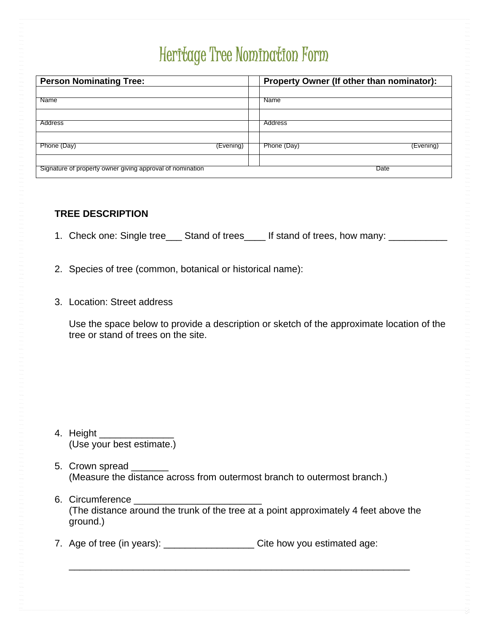## Heritage Tree Nomination Form

| <b>Person Nominating Tree:</b>                            |           | Property Owner (If other than nominator): |
|-----------------------------------------------------------|-----------|-------------------------------------------|
| Name                                                      |           | <b>Name</b>                               |
|                                                           |           |                                           |
| Address                                                   |           | Address                                   |
| Phone (Day)                                               | (Evening) | Phone (Day)<br>(Evening)                  |
|                                                           |           |                                           |
| Signature of property owner giving approval of nomination |           | Date                                      |

## **TREE DESCRIPTION**

- 1. Check one: Single tree\_\_\_ Stand of trees\_\_\_\_ If stand of trees, how many: \_\_\_\_\_\_\_\_
- 2. Species of tree (common, botanical or historical name):
- 3. Location: Street address

 Use the space below to provide a description or sketch of the approximate location of the tree or stand of trees on the site.

- 4. Height \_\_\_\_\_\_\_\_\_\_\_\_\_\_ (Use your best estimate.)
- 5. Crown spread (Measure the distance across from outermost branch to outermost branch.)
- 6. Circumference \_\_\_\_\_\_\_\_\_\_\_\_\_\_\_\_\_\_\_\_\_\_\_\_ (The distance around the trunk of the tree at a point approximately 4 feet above the ground.)

 $\frac{1}{\sqrt{2}}$  ,  $\frac{1}{\sqrt{2}}$  ,  $\frac{1}{\sqrt{2}}$  ,  $\frac{1}{\sqrt{2}}$  ,  $\frac{1}{\sqrt{2}}$  ,  $\frac{1}{\sqrt{2}}$  ,  $\frac{1}{\sqrt{2}}$  ,  $\frac{1}{\sqrt{2}}$  ,  $\frac{1}{\sqrt{2}}$  ,  $\frac{1}{\sqrt{2}}$  ,  $\frac{1}{\sqrt{2}}$  ,  $\frac{1}{\sqrt{2}}$  ,  $\frac{1}{\sqrt{2}}$  ,  $\frac{1}{\sqrt{2}}$  ,  $\frac{1}{\sqrt{2}}$ 

7. Age of tree (in years): \_\_\_\_\_\_\_\_\_\_\_\_\_\_\_\_\_\_\_\_\_\_Cite how you estimated age: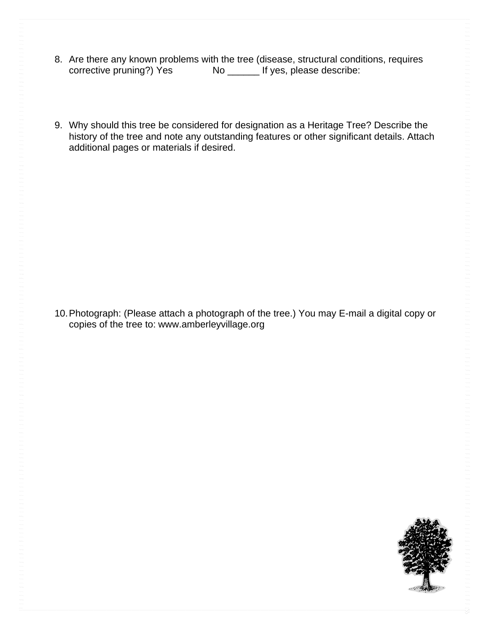- 
- 8. Are there any known problems with the tree (disease, structural conditions, requires corrective pruning?) Yes No \_\_\_\_\_ If yes, please describe:
- 9. Why should this tree be considered for designation as a Heritage Tree? Describe the history of the tree and note any outstanding features or other significant details. Attach additional pages or materials if desired.

10. Photograph: (Please attach a photograph of the tree.) You may E-mail a digital copy or copies of the tree to: www.amberleyvillage.org